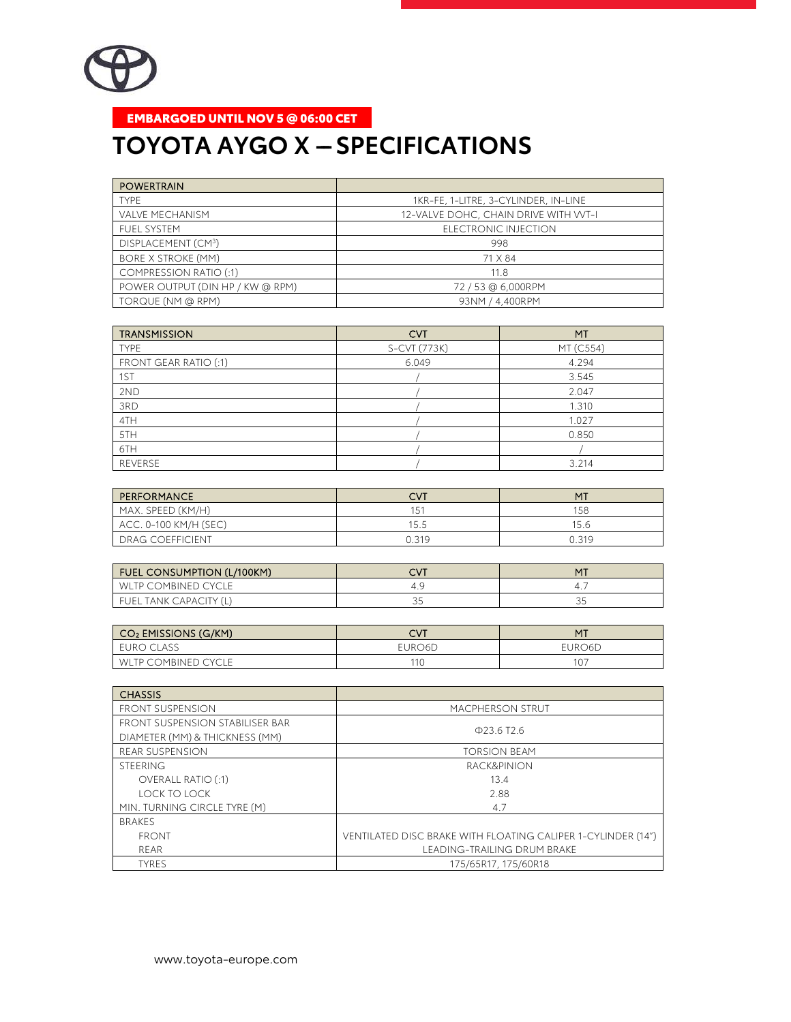

## EMBARGOED UNTIL NOV 5 @ 06:00 CET

## **TOYOTA AYGO X - SPECIFICATIONS**

| <b>POWERTRAIN</b>                |                                       |
|----------------------------------|---------------------------------------|
| <b>TYPF</b>                      | 1KR-FE, 1-LITRE, 3-CYLINDER, IN-LINE  |
| <b>VALVE MECHANISM</b>           | 12-VALVE DOHC, CHAIN DRIVE WITH VVT-I |
| FUFL SYSTEM                      | ELECTRONIC INJECTION                  |
| DISPLACEMENT (CM3)               | 998                                   |
| <b>BORE X STROKE (MM)</b>        | 71 X 84                               |
| <b>COMPRESSION RATIO (:1)</b>    | 11.8                                  |
| POWER OUTPUT (DIN HP / KW @ RPM) | 72/53@6,000RPM                        |
| TORQUE (NM @ RPM)                | 93NM / 4.400RPM                       |

| <b>TRANSMISSION</b>   | <b>CVT</b>   | MT        |
|-----------------------|--------------|-----------|
| <b>TYPE</b>           | S-CVT (773K) | MT (C554) |
| FRONT GEAR RATIO (:1) | 6.049        | 4.294     |
| 1ST                   |              | 3.545     |
| 2ND                   |              | 2.047     |
| 3RD                   |              | 1.310     |
| 4TH                   |              | 1.027     |
| 5TH                   |              | 0.850     |
| 6TH                   |              |           |
| REVERSE               |              | 3.214     |

| PERFORMANCE             | CVT   | MT    |
|-------------------------|-------|-------|
| MAX. SPEED (KM/H)       | 15'   | 158   |
| $ACC. 0-100 KM/H (SEC)$ | 15.5  | 15.6  |
| I DRAG COEFFICIENT      | 0.319 | 0.319 |

| FUEL CONSUMPTION (L/100KM) |            | <b>MT</b> |
|----------------------------|------------|-----------|
| WLTP COMBINED CYCLE        |            |           |
| FUEL TANK CAPACITY (L)     | $\backsim$ |           |

| $\mid$ CO2 EMISSIONS (G/KM) | CVT    | MT     |
|-----------------------------|--------|--------|
| EURO CLASS                  | EURO6D | EURO6D |
| WLTP COMBINED CYCLE         |        |        |

| <b>CHASSIS</b>                  |                                                              |
|---------------------------------|--------------------------------------------------------------|
| <b>FRONT SUSPENSION</b>         | <b>MACPHERSON STRUT</b>                                      |
| FRONT SUSPENSION STABILISER BAR | $\Phi$ 23.6 T <sub>2.6</sub>                                 |
| DIAMETER (MM) & THICKNESS (MM)  |                                                              |
| <b>REAR SUSPENSION</b>          | <b>TORSION BEAM</b>                                          |
| <b>STEERING</b>                 | <b>RACK&amp;PINION</b>                                       |
| <b>OVERALL RATIO (:1)</b>       | 13.4                                                         |
| LOCK TO LOCK                    | 2.88                                                         |
| MIN. TURNING CIRCLE TYRE (M)    | 4.7                                                          |
| <b>BRAKES</b>                   |                                                              |
| <b>FRONT</b>                    | VENTILATED DISC BRAKE WITH FLOATING CALIPER 1-CYLINDER (14") |
| RFAR                            | <b>LEADING-TRAILING DRUM BRAKE</b>                           |
| <b>TYRES</b>                    | 175/65R17, 175/60R18                                         |